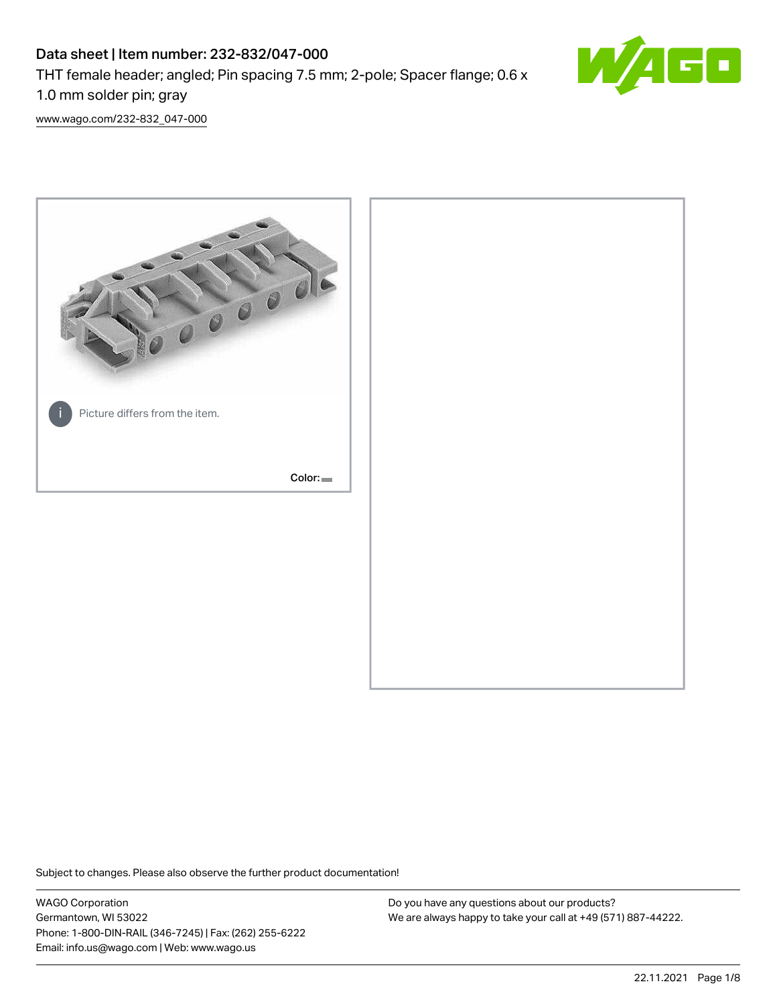# Data sheet | Item number: 232-832/047-000 THT female header; angled; Pin spacing 7.5 mm; 2-pole; Spacer flange; 0.6 x 1.0 mm solder pin; gray



[www.wago.com/232-832\\_047-000](http://www.wago.com/232-832_047-000)



Subject to changes. Please also observe the further product documentation!

WAGO Corporation Germantown, WI 53022 Phone: 1-800-DIN-RAIL (346-7245) | Fax: (262) 255-6222 Email: info.us@wago.com | Web: www.wago.us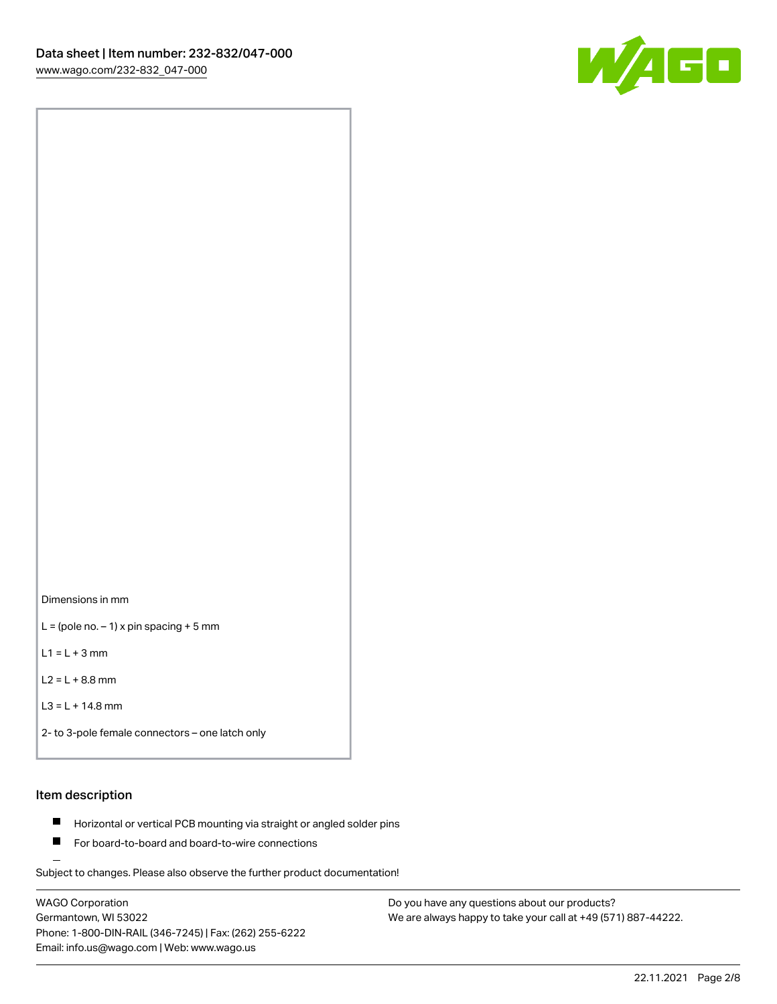

Dimensions in mm

 $L =$  (pole no.  $-1$ ) x pin spacing + 5 mm

 $L1 = L + 3$  mm

 $L2 = L + 8.8$  mm

```
L3 = L + 14.8 mm
```

```
2- to 3-pole female connectors – one latch only
```
## Item description

- **Horizontal or vertical PCB mounting via straight or angled solder pins**
- For board-to-board and board-to-wire connections

Subject to changes. Please also observe the further product documentation!

WAGO Corporation Germantown, WI 53022 Phone: 1-800-DIN-RAIL (346-7245) | Fax: (262) 255-6222 Email: info.us@wago.com | Web: www.wago.us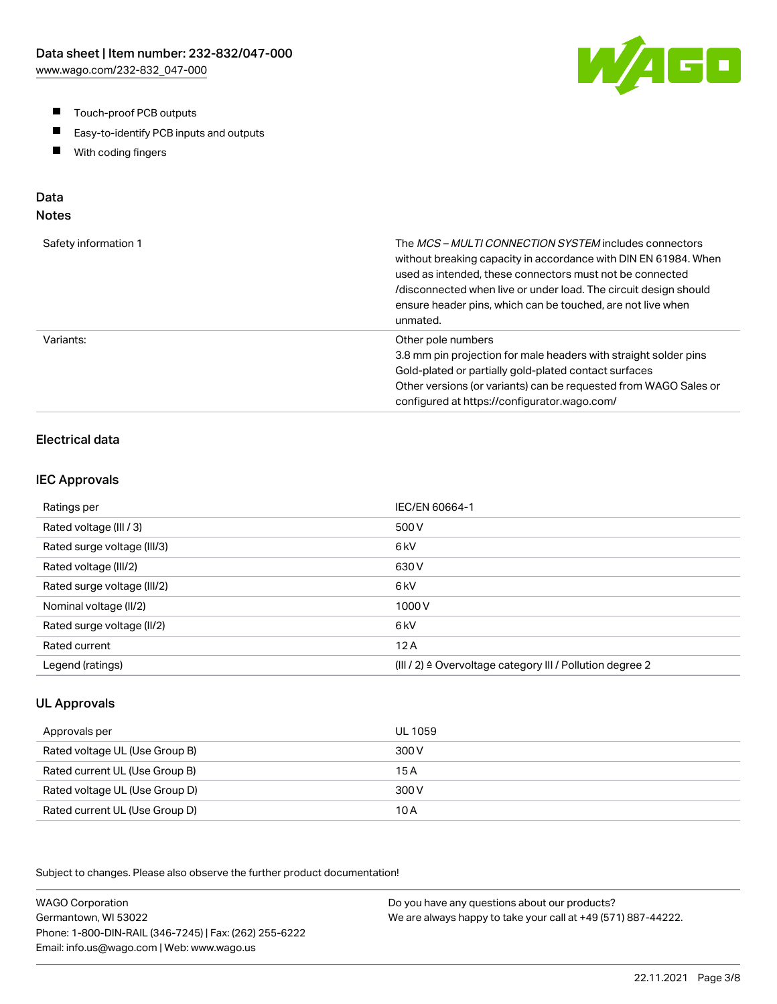- $\blacksquare$ Touch-proof PCB outputs
- $\blacksquare$ Easy-to-identify PCB inputs and outputs
- With coding fingers  $\blacksquare$

# Data

## Notes

| Safety information 1 | The <i>MCS – MULTI CONNECTION SYSTEM</i> includes connectors<br>without breaking capacity in accordance with DIN EN 61984. When<br>used as intended, these connectors must not be connected<br>/disconnected when live or under load. The circuit design should<br>ensure header pins, which can be touched, are not live when<br>unmated. |
|----------------------|--------------------------------------------------------------------------------------------------------------------------------------------------------------------------------------------------------------------------------------------------------------------------------------------------------------------------------------------|
| Variants:            | Other pole numbers<br>3.8 mm pin projection for male headers with straight solder pins<br>Gold-plated or partially gold-plated contact surfaces<br>Other versions (or variants) can be requested from WAGO Sales or<br>configured at https://configurator.wago.com/                                                                        |

## Electrical data

#### IEC Approvals

| Ratings per                 | IEC/EN 60664-1                                                       |
|-----------------------------|----------------------------------------------------------------------|
| Rated voltage (III / 3)     | 500 V                                                                |
| Rated surge voltage (III/3) | 6 <sub>kV</sub>                                                      |
| Rated voltage (III/2)       | 630 V                                                                |
| Rated surge voltage (III/2) | 6 <sub>k</sub> V                                                     |
| Nominal voltage (II/2)      | 1000V                                                                |
| Rated surge voltage (II/2)  | 6 <sub>k</sub> V                                                     |
| Rated current               | 12A                                                                  |
| Legend (ratings)            | (III / 2) $\triangleq$ Overvoltage category III / Pollution degree 2 |

## UL Approvals

| Approvals per                  | UL 1059 |
|--------------------------------|---------|
| Rated voltage UL (Use Group B) | 300 V   |
| Rated current UL (Use Group B) | 15 A    |
| Rated voltage UL (Use Group D) | 300 V   |
| Rated current UL (Use Group D) | 10 A    |

Subject to changes. Please also observe the further product documentation!

WAGO Corporation Germantown, WI 53022 Phone: 1-800-DIN-RAIL (346-7245) | Fax: (262) 255-6222 Email: info.us@wago.com | Web: www.wago.us Do you have any questions about our products? We are always happy to take your call at +49 (571) 887-44222.

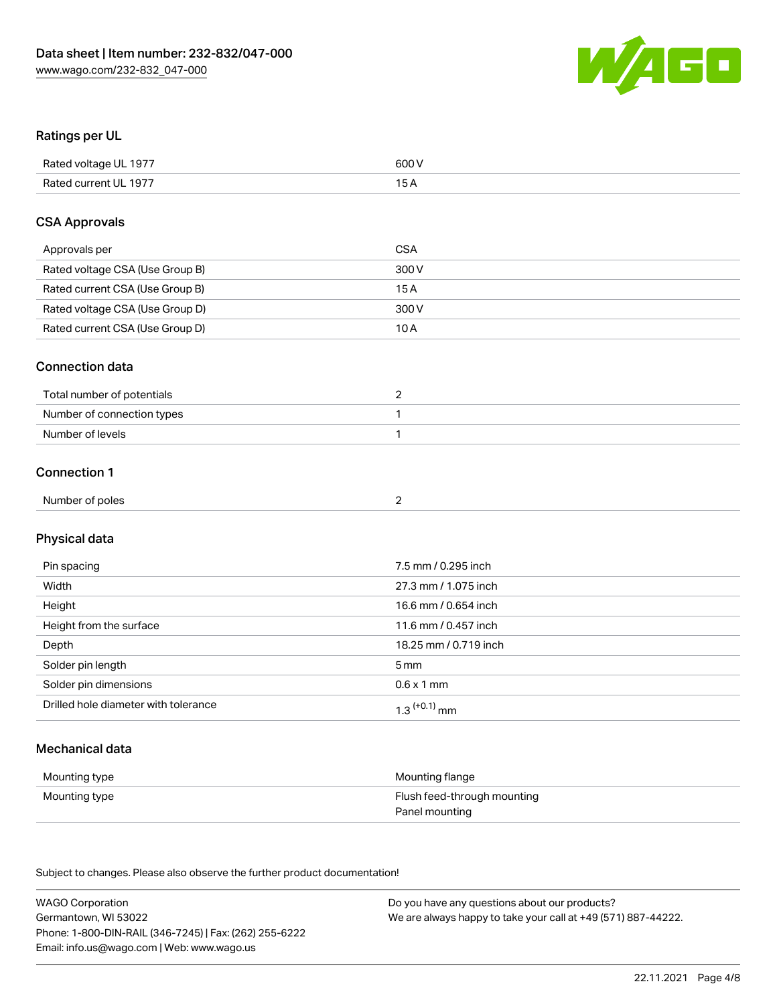

## Ratings per UL

| Rated voltage UL 1977 | 600 V |
|-----------------------|-------|
| Rated current UL 1977 |       |

## CSA Approvals

| Approvals per                   | <b>CSA</b> |
|---------------------------------|------------|
| Rated voltage CSA (Use Group B) | 300 V      |
| Rated current CSA (Use Group B) | 15 A       |
| Rated voltage CSA (Use Group D) | 300 V      |
| Rated current CSA (Use Group D) | 10 A       |

#### Connection data

| Total number of potentials |  |
|----------------------------|--|
| Number of connection types |  |
| Number of levels           |  |

## Connection 1

| . .<br>________<br>Number<br>of poles<br>.<br>. |  |
|-------------------------------------------------|--|
|                                                 |  |

## Physical data

| Pin spacing                          | 7.5 mm / 0.295 inch   |
|--------------------------------------|-----------------------|
| Width                                | 27.3 mm / 1.075 inch  |
| Height                               | 16.6 mm / 0.654 inch  |
| Height from the surface              | 11.6 mm / 0.457 inch  |
| Depth                                | 18.25 mm / 0.719 inch |
| Solder pin length                    | 5 mm                  |
| Solder pin dimensions                | $0.6 \times 1$ mm     |
| Drilled hole diameter with tolerance | $1.3$ $(+0.1)$ mm     |

## Mechanical data

| Mounting type | Mounting flange             |
|---------------|-----------------------------|
| Mounting type | Flush feed-through mounting |
|               | Panel mounting              |

Subject to changes. Please also observe the further product documentation!

| <b>WAGO Corporation</b>                                | Do you have any questions about our products?                 |
|--------------------------------------------------------|---------------------------------------------------------------|
| Germantown, WI 53022                                   | We are always happy to take your call at +49 (571) 887-44222. |
| Phone: 1-800-DIN-RAIL (346-7245)   Fax: (262) 255-6222 |                                                               |
| Email: info.us@wago.com   Web: www.wago.us             |                                                               |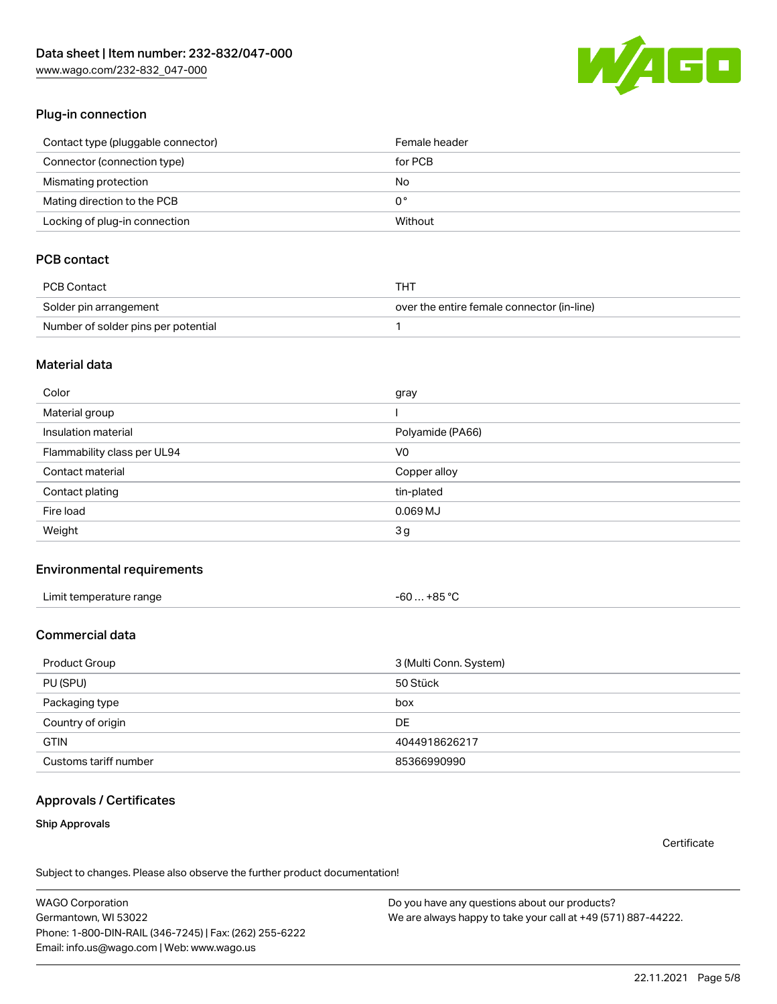[www.wago.com/232-832\\_047-000](http://www.wago.com/232-832_047-000)



## Plug-in connection

| Contact type (pluggable connector) | Female header |
|------------------------------------|---------------|
| Connector (connection type)        | for PCB       |
| Mismating protection               | No            |
| Mating direction to the PCB        | 0°            |
| Locking of plug-in connection      | Without       |

## PCB contact

| PCB Contact                         | THT                                        |
|-------------------------------------|--------------------------------------------|
| Solder pin arrangement              | over the entire female connector (in-line) |
| Number of solder pins per potential |                                            |

### Material data

| Color                       | gray             |
|-----------------------------|------------------|
| Material group              |                  |
| Insulation material         | Polyamide (PA66) |
| Flammability class per UL94 | V <sub>0</sub>   |
| Contact material            | Copper alloy     |
| Contact plating             | tin-plated       |
| Fire load                   | $0.069$ MJ       |
| Weight                      | 3g               |

### Environmental requirements

| Limit temperature range | $-60+85 °C$ |
|-------------------------|-------------|
|-------------------------|-------------|

## Commercial data

| Product Group         | 3 (Multi Conn. System) |
|-----------------------|------------------------|
| PU (SPU)              | 50 Stück               |
| Packaging type        | box                    |
| Country of origin     | DE                     |
| <b>GTIN</b>           | 4044918626217          |
| Customs tariff number | 85366990990            |

### Approvals / Certificates

### Ship Approvals

**Certificate** 

Subject to changes. Please also observe the further product documentation!

WAGO Corporation Germantown, WI 53022 Phone: 1-800-DIN-RAIL (346-7245) | Fax: (262) 255-6222 Email: info.us@wago.com | Web: www.wago.us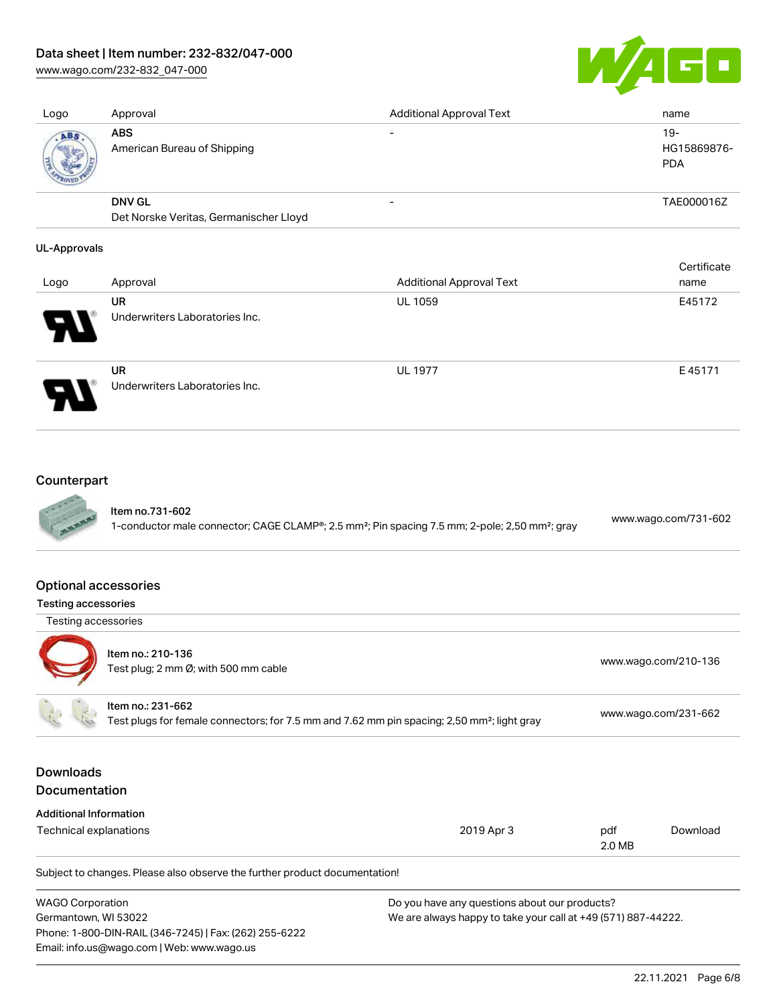## Data sheet | Item number: 232-832/047-000

Underwriters Laboratories Inc.

[www.wago.com/232-832\\_047-000](http://www.wago.com/232-832_047-000)



| Logo                | Approval                                  | <b>Additional Approval Text</b> | name                                |
|---------------------|-------------------------------------------|---------------------------------|-------------------------------------|
| ABS                 | <b>ABS</b><br>American Bureau of Shipping |                                 | $19 -$<br>HG15869876-<br><b>PDA</b> |
|                     | <b>DNV GL</b>                             | $\overline{\phantom{0}}$        | TAE000016Z                          |
|                     | Det Norske Veritas, Germanischer Lloyd    |                                 |                                     |
| <b>UL-Approvals</b> |                                           |                                 |                                     |
|                     |                                           |                                 | Certificate                         |
| Logo                | Approval                                  | <b>Additional Approval Text</b> | name                                |
|                     | UR                                        | <b>UL 1059</b>                  | E45172                              |

|        | UR                             | <b>UL 1977</b> | E45171 |
|--------|--------------------------------|----------------|--------|
| D<br>1 | Underwriters Laboratories Inc. |                |        |

## Counterpart

| Item no.731-602                                                                                                        | www.wago.com/731-602 |
|------------------------------------------------------------------------------------------------------------------------|----------------------|
| 1-conductor male connector; CAGE CLAMP®; 2.5 mm <sup>2</sup> ; Pin spacing 7.5 mm; 2-pole; 2,50 mm <sup>2</sup> ; gray |                      |

#### Optional accessories

|  | <b>Testing accessories</b> |
|--|----------------------------|
|--|----------------------------|

Testing accessories



Item no.: 210-136 Test plug; 2 nm Ø; with 500 mm cable<br>Test plug; 2 mm Ø; with 500 mm cable Item no.: 231-662

Test plugs for female connectors; for 7.5 mm and 7.62 mm pin spacing; 2,50 mm²; light gray [www.wago.com/231-662](http://www.wago.com/231-662)

## Downloads Documentation

| <b>Additional Information</b> |  |
|-------------------------------|--|
|-------------------------------|--|

| Technical explanations | 2019 Apr 3 | pdf    | Download |
|------------------------|------------|--------|----------|
|                        |            | 2.0 MB |          |

Subject to changes. Please also observe the further product documentation!

| <b>WAGO Corporation</b>                                | Do you have any questions about our products?                 |
|--------------------------------------------------------|---------------------------------------------------------------|
| Germantown, WI 53022                                   | We are always happy to take your call at +49 (571) 887-44222. |
| Phone: 1-800-DIN-RAIL (346-7245)   Fax: (262) 255-6222 |                                                               |
| Email: info.us@wago.com   Web: www.wago.us             |                                                               |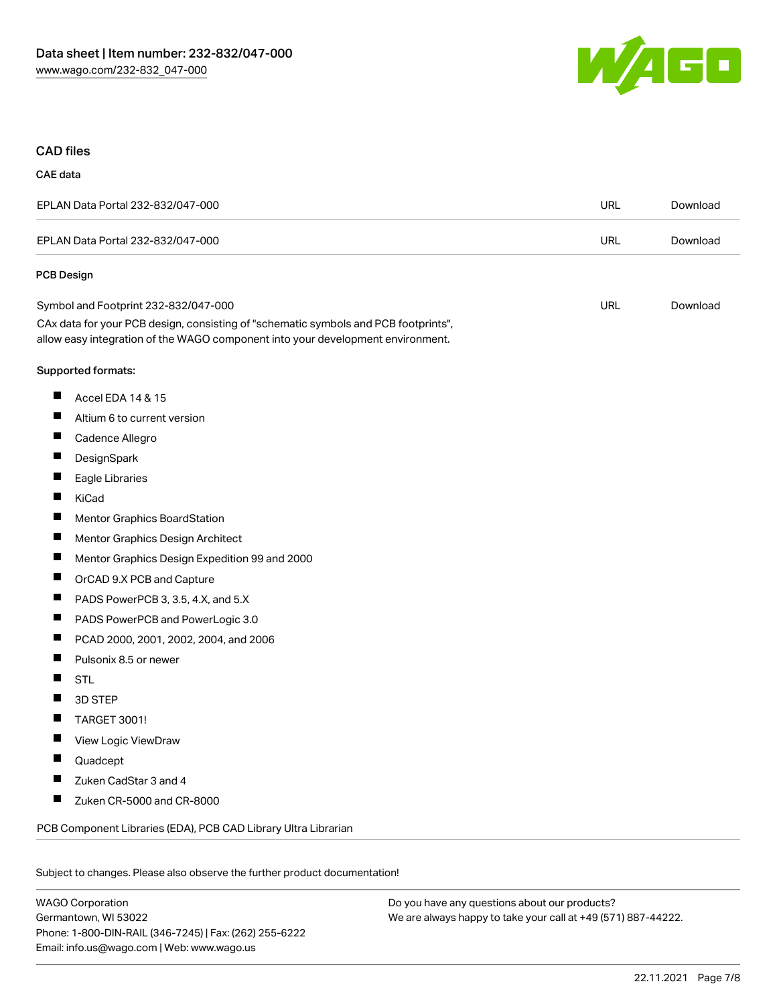

### CAD files

## CAE data

| EPLAN Data Portal 232-832/047-000                                                                                                                                      | URL        | Download |
|------------------------------------------------------------------------------------------------------------------------------------------------------------------------|------------|----------|
| EPLAN Data Portal 232-832/047-000                                                                                                                                      | <b>URL</b> | Download |
| <b>PCB Design</b>                                                                                                                                                      |            |          |
| Symbol and Footprint 232-832/047-000                                                                                                                                   | <b>URL</b> | Download |
| CAx data for your PCB design, consisting of "schematic symbols and PCB footprints",<br>allow easy integration of the WAGO component into your development environment. |            |          |
| Supported formats:                                                                                                                                                     |            |          |
| ш<br>Accel EDA 14 & 15                                                                                                                                                 |            |          |
| ш<br>Altium 6 to current version                                                                                                                                       |            |          |
| ш<br>Cadence Allegro                                                                                                                                                   |            |          |
| ш<br>DesignSpark                                                                                                                                                       |            |          |
| ш<br>Eagle Libraries                                                                                                                                                   |            |          |
| H.<br>KiCad                                                                                                                                                            |            |          |
| П<br>Mentor Graphics BoardStation                                                                                                                                      |            |          |
| ш<br>Mentor Graphics Design Architect                                                                                                                                  |            |          |
| ш<br>Mentor Graphics Design Expedition 99 and 2000                                                                                                                     |            |          |
| П<br>OrCAD 9.X PCB and Capture                                                                                                                                         |            |          |
| ш<br>PADS PowerPCB 3, 3.5, 4.X, and 5.X                                                                                                                                |            |          |
| Ш<br>PADS PowerPCB and PowerLogic 3.0                                                                                                                                  |            |          |
| ш<br>PCAD 2000, 2001, 2002, 2004, and 2006                                                                                                                             |            |          |
| ш<br>Pulsonix 8.5 or newer                                                                                                                                             |            |          |
| Ш<br><b>STL</b>                                                                                                                                                        |            |          |
| П<br>3D STEP                                                                                                                                                           |            |          |
| TARGET 3001!<br>ш                                                                                                                                                      |            |          |
| ш<br>View Logic ViewDraw                                                                                                                                               |            |          |
| Quadcept                                                                                                                                                               |            |          |
| Zuken CadStar 3 and 4                                                                                                                                                  |            |          |
| ш<br>Zuken CR-5000 and CR-8000                                                                                                                                         |            |          |
| PCB Component Libraries (EDA), PCB CAD Library Ultra Librarian                                                                                                         |            |          |
|                                                                                                                                                                        |            |          |

Subject to changes. Please also observe the further product documentation!

WAGO Corporation Germantown, WI 53022 Phone: 1-800-DIN-RAIL (346-7245) | Fax: (262) 255-6222 Email: info.us@wago.com | Web: www.wago.us